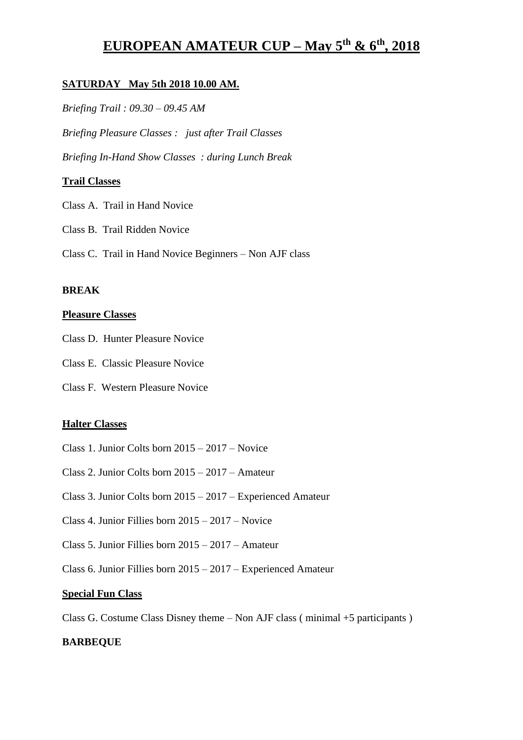# **EUROPEAN AMATEUR CUP – May 5th & 6th , 2018**

# **SATURDAY May 5th 2018 10.00 AM.**

*Briefing Trail : 09.30 – 09.45 AM*

*Briefing Pleasure Classes : just after Trail Classes*

*Briefing In-Hand Show Classes : during Lunch Break*

# **Trail Classes**

- Class A. Trail in Hand Novice
- Class B. Trail Ridden Novice
- Class C. Trail in Hand Novice Beginners Non AJF class

# **BREAK**

# **Pleasure Classes**

- Class D. Hunter Pleasure Novice
- Class E. Classic Pleasure Novice
- Class F. Western Pleasure Novice

# **Halter Classes**

- Class 1. Junior Colts born 2015 2017 Novice
- Class 2. Junior Colts born 2015 2017 Amateur
- Class 3. Junior Colts born 2015 2017 Experienced Amateur
- Class 4. Junior Fillies born 2015 2017 Novice
- Class 5. Junior Fillies born 2015 2017 Amateur
- Class 6. Junior Fillies born 2015 2017 Experienced Amateur

# **Special Fun Class**

Class G. Costume Class Disney theme – Non AJF class ( minimal +5 participants )

# **BARBEQUE**